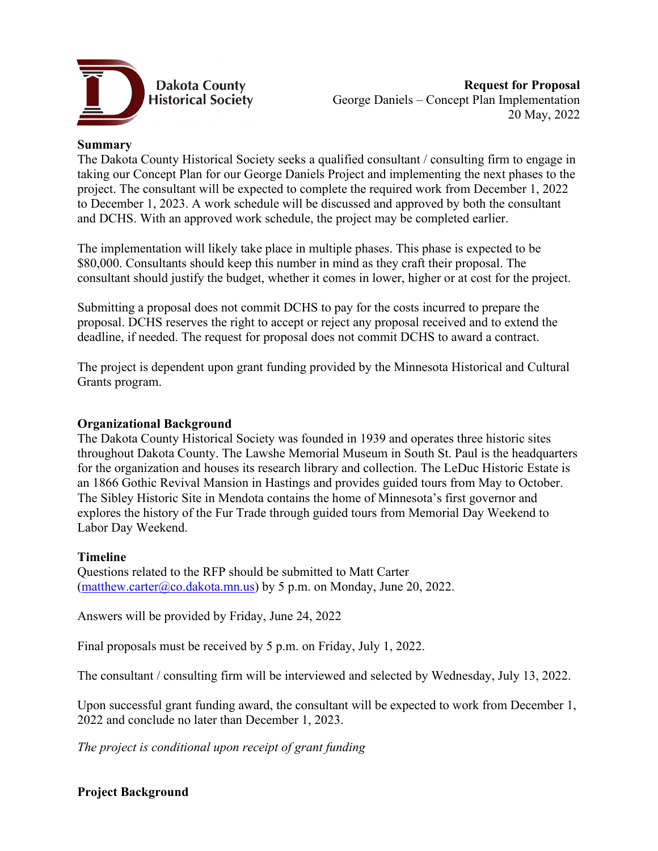

## **Summary**

The Dakota County Historical Society seeks a qualified consultant / consulting firm to engage in taking our Concept Plan for our George Daniels Project and implementing the next phases to the project. The consultant will be expected to complete the required work from December 1, 2022 to December 1, 2023. A work schedule will be discussed and approved by both the consultant and DCHS. With an approved work schedule, the project may be completed earlier.

The implementation will likely take place in multiple phases. This phase is expected to be \$80,000. Consultants should keep this number in mind as they craft their proposal. The consultant should justify the budget, whether it comes in lower, higher or at cost for the project.

Submitting a proposal does not commit DCHS to pay for the costs incurred to prepare the proposal. DCHS reserves the right to accept or reject any proposal received and to extend the deadline, if needed. The request for proposal does not commit DCHS to award a contract.

The project is dependent upon grant funding provided by the Minnesota Historical and Cultural Grants program.

#### **Organizational Background**

The Dakota County Historical Society was founded in 1939 and operates three historic sites throughout Dakota County. The Lawshe Memorial Museum in South St. Paul is the headquarters for the organization and houses its research library and collection. The LeDuc Historic Estate is an 1866 Gothic Revival Mansion in Hastings and provides guided tours from May to October. The Sibley Historic Site in Mendota contains the home of Minnesota's first governor and explores the history of the Fur Trade through guided tours from Memorial Day Weekend to Labor Day Weekend.

#### **Timeline**

Questions related to the RFP should be submitted to Matt Carter [\(matthew.carter@co.dakota.mn.us\)](mailto:matthew.carter@co.dakota.mn.us) by 5 p.m. on Monday, June 20, 2022.

Answers will be provided by Friday, June 24, 2022

Final proposals must be received by 5 p.m. on Friday, July 1, 2022.

The consultant / consulting firm will be interviewed and selected by Wednesday, July 13, 2022.

Upon successful grant funding award, the consultant will be expected to work from December 1, 2022 and conclude no later than December 1, 2023.

*The project is conditional upon receipt of grant funding*

## **Project Background**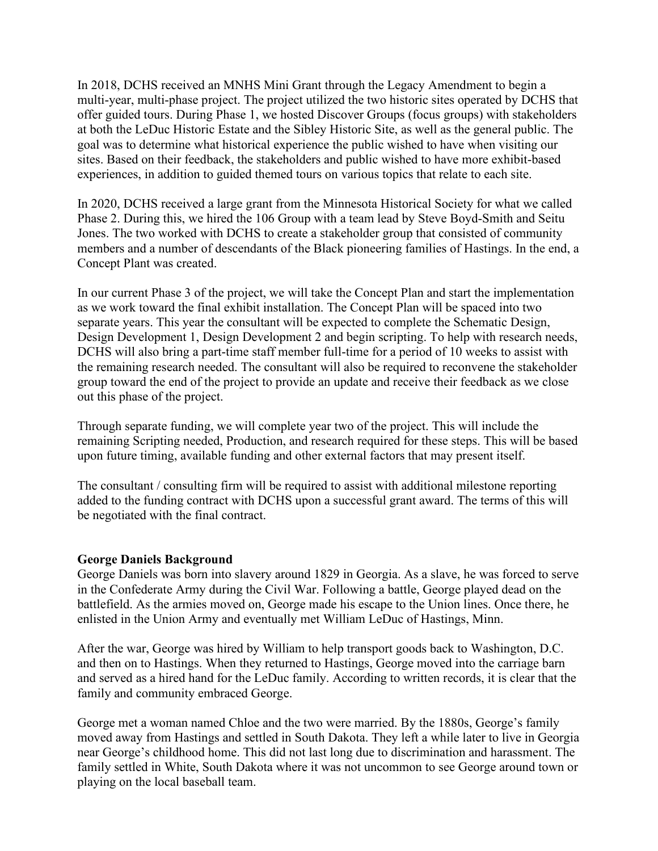In 2018, DCHS received an MNHS Mini Grant through the Legacy Amendment to begin a multi-year, multi-phase project. The project utilized the two historic sites operated by DCHS that offer guided tours. During Phase 1, we hosted Discover Groups (focus groups) with stakeholders at both the LeDuc Historic Estate and the Sibley Historic Site, as well as the general public. The goal was to determine what historical experience the public wished to have when visiting our sites. Based on their feedback, the stakeholders and public wished to have more exhibit-based experiences, in addition to guided themed tours on various topics that relate to each site.

In 2020, DCHS received a large grant from the Minnesota Historical Society for what we called Phase 2. During this, we hired the 106 Group with a team lead by Steve Boyd-Smith and Seitu Jones. The two worked with DCHS to create a stakeholder group that consisted of community members and a number of descendants of the Black pioneering families of Hastings. In the end, a Concept Plant was created.

In our current Phase 3 of the project, we will take the Concept Plan and start the implementation as we work toward the final exhibit installation. The Concept Plan will be spaced into two separate years. This year the consultant will be expected to complete the Schematic Design, Design Development 1, Design Development 2 and begin scripting. To help with research needs, DCHS will also bring a part-time staff member full-time for a period of 10 weeks to assist with the remaining research needed. The consultant will also be required to reconvene the stakeholder group toward the end of the project to provide an update and receive their feedback as we close out this phase of the project.

Through separate funding, we will complete year two of the project. This will include the remaining Scripting needed, Production, and research required for these steps. This will be based upon future timing, available funding and other external factors that may present itself.

The consultant / consulting firm will be required to assist with additional milestone reporting added to the funding contract with DCHS upon a successful grant award. The terms of this will be negotiated with the final contract.

#### **George Daniels Background**

George Daniels was born into slavery around 1829 in Georgia. As a slave, he was forced to serve in the Confederate Army during the Civil War. Following a battle, George played dead on the battlefield. As the armies moved on, George made his escape to the Union lines. Once there, he enlisted in the Union Army and eventually met William LeDuc of Hastings, Minn.

After the war, George was hired by William to help transport goods back to Washington, D.C. and then on to Hastings. When they returned to Hastings, George moved into the carriage barn and served as a hired hand for the LeDuc family. According to written records, it is clear that the family and community embraced George.

George met a woman named Chloe and the two were married. By the 1880s, George's family moved away from Hastings and settled in South Dakota. They left a while later to live in Georgia near George's childhood home. This did not last long due to discrimination and harassment. The family settled in White, South Dakota where it was not uncommon to see George around town or playing on the local baseball team.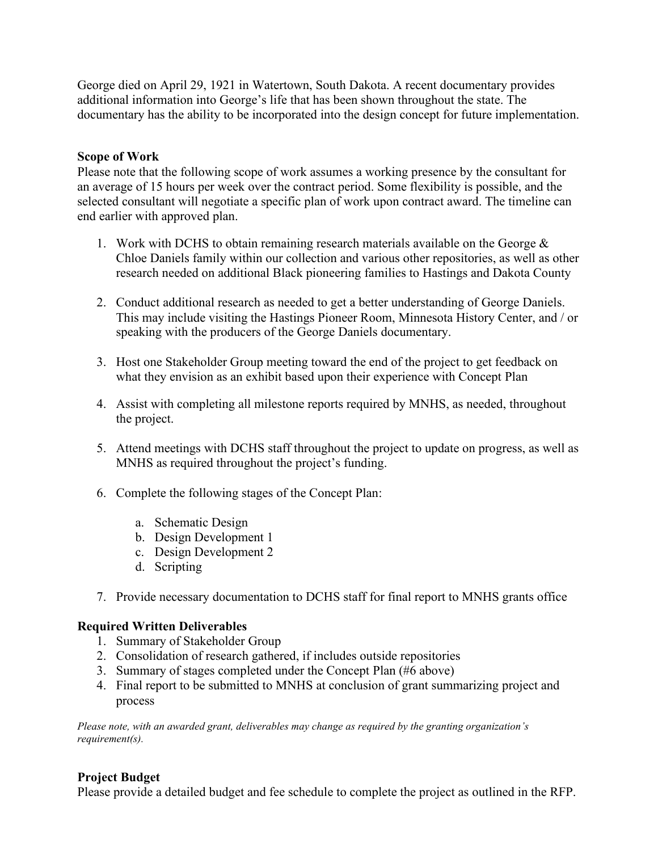George died on April 29, 1921 in Watertown, South Dakota. A recent documentary provides additional information into George's life that has been shown throughout the state. The documentary has the ability to be incorporated into the design concept for future implementation.

## **Scope of Work**

Please note that the following scope of work assumes a working presence by the consultant for an average of 15 hours per week over the contract period. Some flexibility is possible, and the selected consultant will negotiate a specific plan of work upon contract award. The timeline can end earlier with approved plan.

- 1. Work with DCHS to obtain remaining research materials available on the George & Chloe Daniels family within our collection and various other repositories, as well as other research needed on additional Black pioneering families to Hastings and Dakota County
- 2. Conduct additional research as needed to get a better understanding of George Daniels. This may include visiting the Hastings Pioneer Room, Minnesota History Center, and / or speaking with the producers of the George Daniels documentary.
- 3. Host one Stakeholder Group meeting toward the end of the project to get feedback on what they envision as an exhibit based upon their experience with Concept Plan
- 4. Assist with completing all milestone reports required by MNHS, as needed, throughout the project.
- 5. Attend meetings with DCHS staff throughout the project to update on progress, as well as MNHS as required throughout the project's funding.
- 6. Complete the following stages of the Concept Plan:
	- a. Schematic Design
	- b. Design Development 1
	- c. Design Development 2
	- d. Scripting
- 7. Provide necessary documentation to DCHS staff for final report to MNHS grants office

## **Required Written Deliverables**

- 1. Summary of Stakeholder Group
- 2. Consolidation of research gathered, if includes outside repositories
- 3. Summary of stages completed under the Concept Plan (#6 above)
- 4. Final report to be submitted to MNHS at conclusion of grant summarizing project and process

*Please note, with an awarded grant, deliverables may change as required by the granting organization's requirement(s).*

## **Project Budget**

Please provide a detailed budget and fee schedule to complete the project as outlined in the RFP.